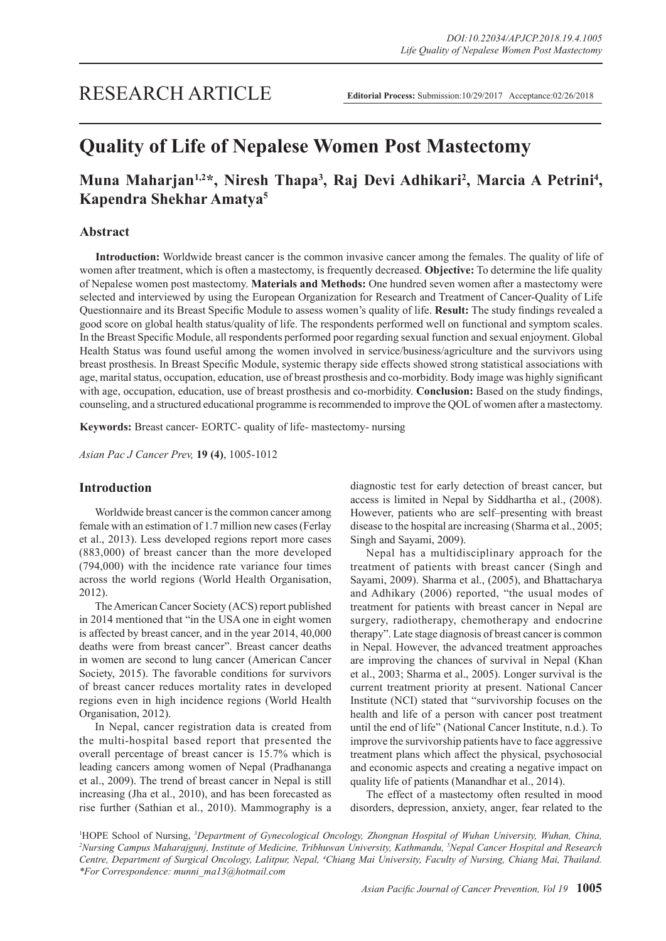# **Quality of Life of Nepalese Women Post Mastectomy**

## Muna Maharjan<sup>1,2\*</sup>, Niresh Thapa<sup>3</sup>, Raj Devi Adhikari<sup>2</sup>, Marcia A Petrini<sup>4</sup>, **Kapendra Shekhar Amatya5**

## **Abstract**

**Introduction:** Worldwide breast cancer is the common invasive cancer among the females. The quality of life of women after treatment, which is often a mastectomy, is frequently decreased. **Objective:** To determine the life quality of Nepalese women post mastectomy. **Materials and Methods:** One hundred seven women after a mastectomy were selected and interviewed by using the European Organization for Research and Treatment of Cancer-Quality of Life Questionnaire and its Breast Specific Module to assess women's quality of life. **Result:** The study findings revealed a good score on global health status/quality of life. The respondents performed well on functional and symptom scales. In the Breast Specific Module, all respondents performed poor regarding sexual function and sexual enjoyment. Global Health Status was found useful among the women involved in service/business/agriculture and the survivors using breast prosthesis. In Breast Specific Module, systemic therapy side effects showed strong statistical associations with age, marital status, occupation, education, use of breast prosthesis and co-morbidity. Body image was highly significant with age, occupation, education, use of breast prosthesis and co-morbidity. **Conclusion:** Based on the study findings, counseling, and a structured educational programme is recommended to improve the QOL of women after a mastectomy.

**Keywords:** Breast cancer- EORTC- quality of life- mastectomy- nursing

*Asian Pac J Cancer Prev,* **19 (4)**, 1005-1012

## **Introduction**

Worldwide breast cancer is the common cancer among female with an estimation of 1.7 million new cases (Ferlay et al., 2013). Less developed regions report more cases (883,000) of breast cancer than the more developed (794,000) with the incidence rate variance four times across the world regions (World Health Organisation, 2012).

The American Cancer Society (ACS) report published in 2014 mentioned that "in the USA one in eight women is affected by breast cancer, and in the year 2014, 40,000 deaths were from breast cancer". Breast cancer deaths in women are second to lung cancer (American Cancer Society, 2015). The favorable conditions for survivors of breast cancer reduces mortality rates in developed regions even in high incidence regions (World Health Organisation, 2012).

In Nepal, cancer registration data is created from the multi-hospital based report that presented the overall percentage of breast cancer is 15.7% which is leading cancers among women of Nepal (Pradhananga et al., 2009). The trend of breast cancer in Nepal is still increasing (Jha et al., 2010), and has been forecasted as rise further (Sathian et al., 2010). Mammography is a

diagnostic test for early detection of breast cancer, but access is limited in Nepal by Siddhartha et al., (2008). However, patients who are self–presenting with breast disease to the hospital are increasing (Sharma et al., 2005; Singh and Sayami, 2009).

Nepal has a multidisciplinary approach for the treatment of patients with breast cancer (Singh and Sayami, 2009). Sharma et al., (2005), and Bhattacharya and Adhikary (2006) reported, "the usual modes of treatment for patients with breast cancer in Nepal are surgery, radiotherapy, chemotherapy and endocrine therapy". Late stage diagnosis of breast cancer is common in Nepal. However, the advanced treatment approaches are improving the chances of survival in Nepal (Khan et al., 2003; Sharma et al., 2005). Longer survival is the current treatment priority at present. National Cancer Institute (NCI) stated that "survivorship focuses on the health and life of a person with cancer post treatment until the end of life" (National Cancer Institute, n.d.). To improve the survivorship patients have to face aggressive treatment plans which affect the physical, psychosocial and economic aspects and creating a negative impact on quality life of patients (Manandhar et al., 2014).

The effect of a mastectomy often resulted in mood disorders, depression, anxiety, anger, fear related to the

<sup>1</sup>HOPE School of Nursing, *<sup>3</sup>Department of Gynecological Oncology, Zhongnan Hospital of Wuhan University, Wuhan, China, 2<sup>2</sup><br><sup>2</sup>Nursing Campus Maharajauni Justitute of Medicine Trihhuwan University Kathmandu <sup>5</sup>Nepal Can Nursing Campus Maharajgunj, Institute of Medicine, Tribhuwan University, Kathmandu, 5 Nepal Cancer Hospital and Research*  Centre, Department of Surgical Oncology, Lalitpur, Nepal, <sup>4</sup>Chiang Mai University, Faculty of Nursing, Chiang Mai, Thailand. *\*For Correspondence: munni\_ma13@hotmail.com*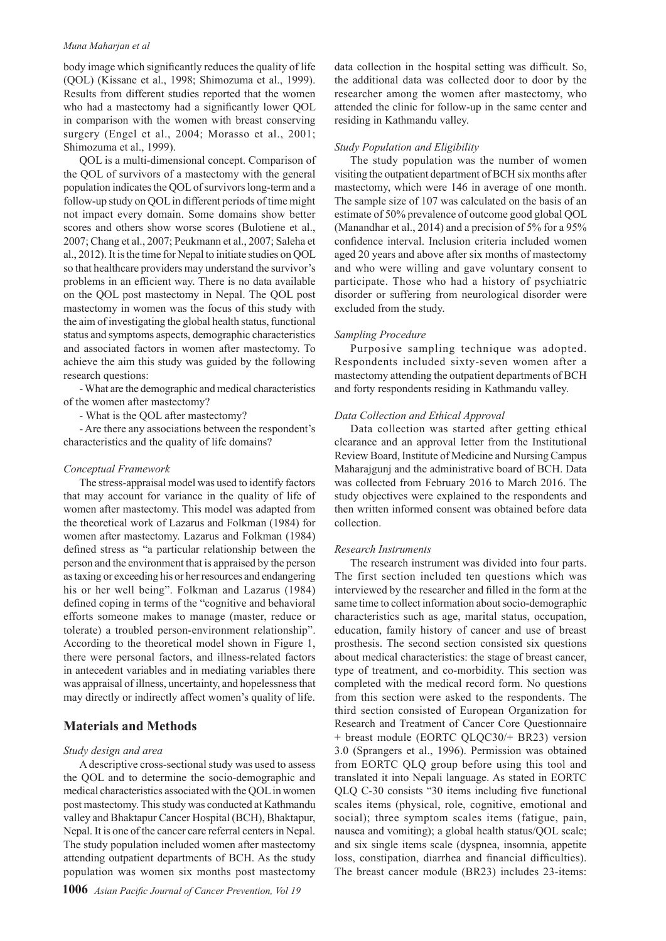#### *Muna Maharjan et al*

body image which significantly reduces the quality of life (QOL) (Kissane et al., 1998; Shimozuma et al., 1999). Results from different studies reported that the women who had a mastectomy had a significantly lower QOL in comparison with the women with breast conserving surgery (Engel et al., 2004; Morasso et al., 2001; Shimozuma et al., 1999).

QOL is a multi-dimensional concept. Comparison of the QOL of survivors of a mastectomy with the general population indicates the QOL of survivors long-term and a follow-up study on QOL in different periods of time might not impact every domain. Some domains show better scores and others show worse scores (Bulotiene et al., 2007; Chang et al., 2007; Peukmann et al., 2007; Saleha et al., 2012). It is the time for Nepal to initiate studies on QOL so that healthcare providers may understand the survivor's problems in an efficient way. There is no data available on the QOL post mastectomy in Nepal. The QOL post mastectomy in women was the focus of this study with the aim of investigating the global health status, functional status and symptoms aspects, demographic characteristics and associated factors in women after mastectomy. To achieve the aim this study was guided by the following research questions:

- What are the demographic and medical characteristics of the women after mastectomy?

- What is the QOL after mastectomy?

- Are there any associations between the respondent's characteristics and the quality of life domains?

#### *Conceptual Framework*

The stress-appraisal model was used to identify factors that may account for variance in the quality of life of women after mastectomy. This model was adapted from the theoretical work of Lazarus and Folkman (1984) for women after mastectomy. Lazarus and Folkman (1984) defined stress as "a particular relationship between the person and the environment that is appraised by the person as taxing or exceeding his or her resources and endangering his or her well being". Folkman and Lazarus (1984) defined coping in terms of the "cognitive and behavioral efforts someone makes to manage (master, reduce or tolerate) a troubled person-environment relationship". According to the theoretical model shown in Figure 1, there were personal factors, and illness-related factors in antecedent variables and in mediating variables there was appraisal of illness, uncertainty, and hopelessness that may directly or indirectly affect women's quality of life.

## **Materials and Methods**

## *Study design and area*

A descriptive cross-sectional study was used to assess the QOL and to determine the socio-demographic and medical characteristics associated with the QOL in women post mastectomy. This study was conducted at Kathmandu valley and Bhaktapur Cancer Hospital (BCH), Bhaktapur, Nepal. It is one of the cancer care referral centers in Nepal. The study population included women after mastectomy attending outpatient departments of BCH. As the study population was women six months post mastectomy data collection in the hospital setting was difficult. So, the additional data was collected door to door by the researcher among the women after mastectomy, who attended the clinic for follow-up in the same center and residing in Kathmandu valley.

#### *Study Population and Eligibility*

The study population was the number of women visiting the outpatient department of BCH six months after mastectomy, which were 146 in average of one month. The sample size of 107 was calculated on the basis of an estimate of 50% prevalence of outcome good global QOL (Manandhar et al., 2014) and a precision of 5% for a 95% confidence interval. Inclusion criteria included women aged 20 years and above after six months of mastectomy and who were willing and gave voluntary consent to participate. Those who had a history of psychiatric disorder or suffering from neurological disorder were excluded from the study.

#### *Sampling Procedure*

Purposive sampling technique was adopted. Respondents included sixty-seven women after a mastectomy attending the outpatient departments of BCH and forty respondents residing in Kathmandu valley.

#### *Data Collection and Ethical Approval*

Data collection was started after getting ethical clearance and an approval letter from the Institutional Review Board, Institute of Medicine and Nursing Campus Maharajgunj and the administrative board of BCH. Data was collected from February 2016 to March 2016. The study objectives were explained to the respondents and then written informed consent was obtained before data collection.

#### *Research Instruments*

The research instrument was divided into four parts. The first section included ten questions which was interviewed by the researcher and filled in the form at the same time to collect information about socio-demographic characteristics such as age, marital status, occupation, education, family history of cancer and use of breast prosthesis. The second section consisted six questions about medical characteristics: the stage of breast cancer, type of treatment, and co-morbidity. This section was completed with the medical record form. No questions from this section were asked to the respondents. The third section consisted of European Organization for Research and Treatment of Cancer Core Questionnaire + breast module (EORTC QLQC30/+ BR23) version 3.0 (Sprangers et al., 1996). Permission was obtained from EORTC QLQ group before using this tool and translated it into Nepali language. As stated in EORTC QLQ C-30 consists "30 items including five functional scales items (physical, role, cognitive, emotional and social); three symptom scales items (fatigue, pain, nausea and vomiting); a global health status/QOL scale; and six single items scale (dyspnea, insomnia, appetite loss, constipation, diarrhea and financial difficulties). The breast cancer module (BR23) includes 23-items: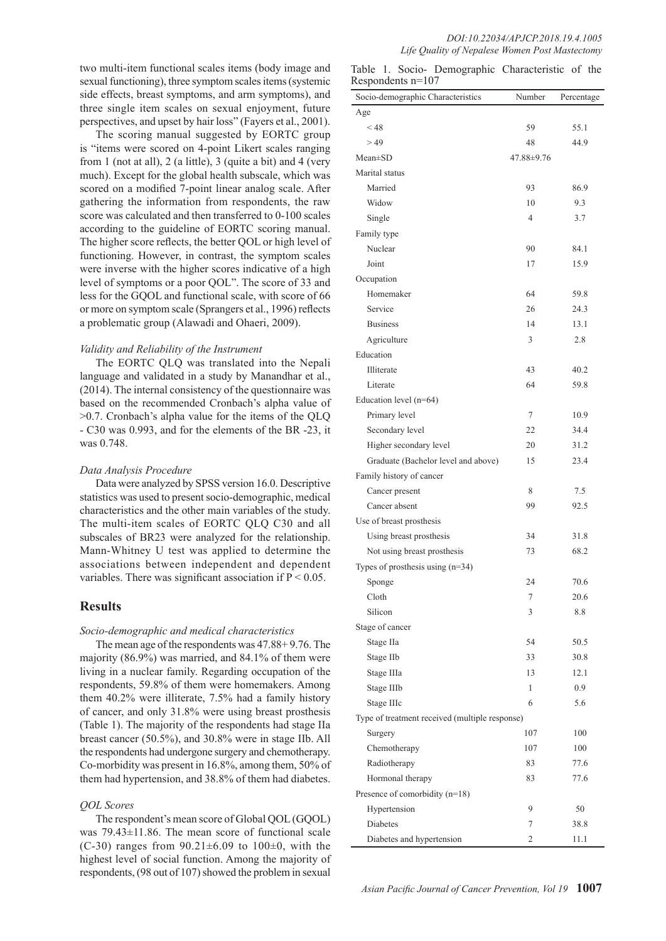two multi-item functional scales items (body image and sexual functioning), three symptom scales items (systemic side effects, breast symptoms, and arm symptoms), and three single item scales on sexual enjoyment, future perspectives, and upset by hair loss" (Fayers et al., 2001).

The scoring manual suggested by EORTC group is "items were scored on 4-point Likert scales ranging from 1 (not at all), 2 (a little), 3 (quite a bit) and 4 (very much). Except for the global health subscale, which was scored on a modified 7-point linear analog scale. After gathering the information from respondents, the raw score was calculated and then transferred to 0-100 scales according to the guideline of EORTC scoring manual. The higher score reflects, the better QOL or high level of functioning. However, in contrast, the symptom scales were inverse with the higher scores indicative of a high level of symptoms or a poor QOL". The score of 33 and less for the GQOL and functional scale, with score of 66 or more on symptom scale (Sprangers et al., 1996) reflects a problematic group (Alawadi and Ohaeri, 2009).

## *Validity and Reliability of the Instrument*

The EORTC QLQ was translated into the Nepali language and validated in a study by Manandhar et al., (2014). The internal consistency of the questionnaire was based on the recommended Cronbach's alpha value of >0.7. Cronbach's alpha value for the items of the QLQ - C30 was 0.993, and for the elements of the BR -23, it was 0.748.

## *Data Analysis Procedure*

Data were analyzed by SPSS version 16.0. Descriptive statistics was used to present socio-demographic, medical characteristics and the other main variables of the study. The multi-item scales of EORTC QLQ C30 and all subscales of BR23 were analyzed for the relationship. Mann-Whitney U test was applied to determine the associations between independent and dependent variables. There was significant association if  $P < 0.05$ .

## **Results**

## *Socio-demographic and medical characteristics*

The mean age of the respondents was 47.88+ 9.76. The majority (86.9%) was married, and 84.1% of them were living in a nuclear family. Regarding occupation of the respondents, 59.8% of them were homemakers. Among them 40.2% were illiterate, 7.5% had a family history of cancer, and only 31.8% were using breast prosthesis (Table 1). The majority of the respondents had stage IIa breast cancer (50.5%), and 30.8% were in stage IIb. All the respondents had undergone surgery and chemotherapy. Co-morbidity was present in 16.8%, among them, 50% of them had hypertension, and 38.8% of them had diabetes.

## *QOL Scores*

The respondent's mean score of Global QOL (GQOL) was 79.43±11.86. The mean score of functional scale (C-30) ranges from  $90.21 \pm 6.09$  to  $100 \pm 0$ , with the highest level of social function. Among the majority of respondents, (98 out of 107) showed the problem in sexual

|  |                     | Table 1. Socio- Demographic Characteristic of the |  |
|--|---------------------|---------------------------------------------------|--|
|  | Respondents $n=107$ |                                                   |  |

| Socio-demographic Characteristics              | Number         | Percentage |
|------------------------------------------------|----------------|------------|
| Age                                            |                |            |
| $<$ 48                                         | 59             | 55.1       |
| >49                                            | 48             | 44.9       |
| $Mean \pm SD$                                  | 47.88±9.76     |            |
| Marital status                                 |                |            |
| Married                                        | 93             | 86.9       |
| Widow                                          | 10             | 9.3        |
| Single                                         | $\overline{4}$ | 3.7        |
| Family type                                    |                |            |
| Nuclear                                        | 90             | 84.1       |
| Joint                                          | 17             | 15.9       |
| Occupation                                     |                |            |
| Homemaker                                      | 64             | 59.8       |
| Service                                        | 26             | 24.3       |
| <b>Business</b>                                | 14             | 13.1       |
| Agriculture                                    | 3              | 2.8        |
| Education                                      |                |            |
| Illiterate                                     | 43             | 40.2       |
| Literate                                       | 64             | 59.8       |
| Education level $(n=64)$                       |                |            |
| Primary level                                  | 7              | 10.9       |
| Secondary level                                | 22             | 34.4       |
| Higher secondary level                         | 20             | 31.2       |
| Graduate (Bachelor level and above)            | 15             | 23.4       |
| Family history of cancer                       |                |            |
| Cancer present                                 | 8              | 7.5        |
| Cancer absent                                  | 99             | 92.5       |
| Use of breast prosthesis                       |                |            |
| Using breast prosthesis                        | 34             | 31.8       |
| Not using breast prosthesis                    | 73             | 68.2       |
| Types of prosthesis using $(n=34)$             |                |            |
| Sponge                                         | 24             | 70.6       |
| Cloth                                          | 7              | 20.6       |
| Silicon                                        | 3              | 8.8        |
| Stage of cancer                                |                |            |
| Stage IIa                                      | 54             | 50.5       |
| Stage IIb                                      | 33             | 30.8       |
| Stage IIIa                                     | 13             | 12.1       |
| Stage IIIb                                     | 1              | 0.9        |
| Stage IIIc                                     | 6              | 5.6        |
| Type of treatment received (multiple response) |                |            |
| Surgery                                        | 107            | 100        |
| Chemotherapy                                   | 107            | 100        |
| Radiotherapy                                   | 83             | 77.6       |
| Hormonal therapy                               | 83             | 77.6       |
| Presence of comorbidity (n=18)                 |                |            |
| Hypertension                                   | 9              | 50         |
| <b>Diabetes</b>                                | 7              | 38.8       |
| Diabetes and hypertension                      | 2              | 11.1       |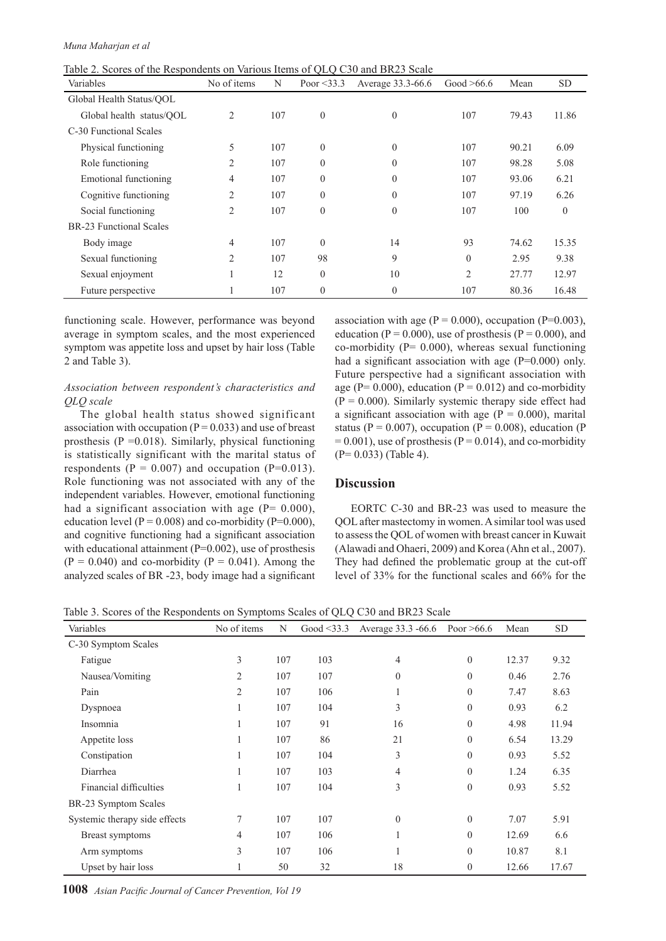| Table 2. Scores of the Respondents on Various Items of QLQ C30 and BR23 Scale |  |  |  |
|-------------------------------------------------------------------------------|--|--|--|
|-------------------------------------------------------------------------------|--|--|--|

| Variables                      | No of items    | N   | Poor $\leq$ 33.3 | Average 33.3-66.6 | Good $>66.6$   | Mean  | <b>SD</b> |
|--------------------------------|----------------|-----|------------------|-------------------|----------------|-------|-----------|
| Global Health Status/OOL       |                |     |                  |                   |                |       |           |
| Global health status/QOL       | 2              | 107 | $\theta$         | $\theta$          | 107            | 79.43 | 11.86     |
| C-30 Functional Scales         |                |     |                  |                   |                |       |           |
| Physical functioning           | 5              | 107 | $\theta$         | $\theta$          | 107            | 90.21 | 6.09      |
| Role functioning               | $\overline{2}$ | 107 | $\theta$         | $\theta$          | 107            | 98.28 | 5.08      |
| Emotional functioning          | 4              | 107 | $\theta$         | $\mathbf{0}$      | 107            | 93.06 | 6.21      |
| Cognitive functioning          | 2              | 107 | $\theta$         | $\Omega$          | 107            | 97.19 | 6.26      |
| Social functioning             | 2              | 107 | $\theta$         | $\theta$          | 107            | 100   | $\theta$  |
| <b>BR-23 Functional Scales</b> |                |     |                  |                   |                |       |           |
| Body image                     | 4              | 107 | $\theta$         | 14                | 93             | 74.62 | 15.35     |
| Sexual functioning             | 2              | 107 | 98               | 9                 | $\theta$       | 2.95  | 9.38      |
| Sexual enjoyment               |                | 12  | $\theta$         | 10                | $\overline{2}$ | 27.77 | 12.97     |
| Future perspective             |                | 107 | $\theta$         | $\theta$          | 107            | 80.36 | 16.48     |

functioning scale. However, performance was beyond average in symptom scales, and the most experienced symptom was appetite loss and upset by hair loss (Table 2 and Table 3).

## *Association between respondent's characteristics and QLQ scale*

The global health status showed significant association with occupation ( $P = 0.033$ ) and use of breast prosthesis ( $P = 0.018$ ). Similarly, physical functioning is statistically significant with the marital status of respondents ( $P = 0.007$ ) and occupation ( $P=0.013$ ). Role functioning was not associated with any of the independent variables. However, emotional functioning had a significant association with age  $(P= 0.000)$ , education level ( $P = 0.008$ ) and co-morbidity ( $P = 0.000$ ), and cognitive functioning had a significant association with educational attainment  $(P=0.002)$ , use of prosthesis  $(P = 0.040)$  and co-morbidity  $(P = 0.041)$ . Among the analyzed scales of BR -23, body image had a significant

association with age ( $P = 0.000$ ), occupation ( $P = 0.003$ ), education ( $P = 0.000$ ), use of prosthesis ( $P = 0.000$ ), and co-morbidity ( $P = 0.000$ ), whereas sexual functioning had a significant association with age (P=0.000) only. Future perspective had a significant association with age ( $P = 0.000$ ), education ( $P = 0.012$ ) and co-morbidity  $(P = 0.000)$ . Similarly systemic therapy side effect had a significant association with age  $(P = 0.000)$ , marital status (P = 0.007), occupation (P = 0.008), education (P  $= 0.001$ ), use of prosthesis (P = 0.014), and co-morbidity (P= 0.033) (Table 4).

## **Discussion**

EORTC C-30 and BR-23 was used to measure the QOL after mastectomy in women. A similar tool was used to assess the QOL of women with breast cancer in Kuwait (Alawadi and Ohaeri, 2009) and Korea (Ahn et al., 2007). They had defined the problematic group at the cut-off level of 33% for the functional scales and 66% for the

Table 3. Scores of the Respondents on Symptoms Scales of QLQ C30 and BR23 Scale

| Variables                     | No of items    | N   | Good $\leq$ 33.3 | Average 33.3 -66.6 | Poor $>66.6$     | Mean  | <b>SD</b> |
|-------------------------------|----------------|-----|------------------|--------------------|------------------|-------|-----------|
| C-30 Symptom Scales           |                |     |                  |                    |                  |       |           |
| Fatigue                       | $\overline{3}$ | 107 | 103              | 4                  | $\boldsymbol{0}$ | 12.37 | 9.32      |
| Nausea/Vomiting               | 2              | 107 | 107              | $\theta$           | $\boldsymbol{0}$ | 0.46  | 2.76      |
| Pain                          | $\overline{2}$ | 107 | 106              |                    | $\mathbf{0}$     | 7.47  | 8.63      |
| Dyspnoea                      |                | 107 | 104              | 3                  | $\boldsymbol{0}$ | 0.93  | 6.2       |
| Insomnia                      | ı              | 107 | 91               | 16                 | $\boldsymbol{0}$ | 4.98  | 11.94     |
| Appetite loss                 |                | 107 | 86               | 21                 | $\mathbf{0}$     | 6.54  | 13.29     |
| Constipation                  |                | 107 | 104              | 3                  | $\boldsymbol{0}$ | 0.93  | 5.52      |
| Diarrhea                      | ı              | 107 | 103              | 4                  | $\theta$         | 1.24  | 6.35      |
| Financial difficulties        |                | 107 | 104              | 3                  | $\mathbf{0}$     | 0.93  | 5.52      |
| BR-23 Symptom Scales          |                |     |                  |                    |                  |       |           |
| Systemic therapy side effects | $\tau$         | 107 | 107              | $\theta$           | $\boldsymbol{0}$ | 7.07  | 5.91      |
| Breast symptoms               | 4              | 107 | 106              |                    | $\mathbf{0}$     | 12.69 | 6.6       |
| Arm symptoms                  | $\overline{3}$ | 107 | 106              |                    | $\boldsymbol{0}$ | 10.87 | 8.1       |
| Upset by hair loss            |                | 50  | 32               | 18                 | $\boldsymbol{0}$ | 12.66 | 17.67     |

**1008** *Asian Pacific Journal of Cancer Prevention, Vol 19*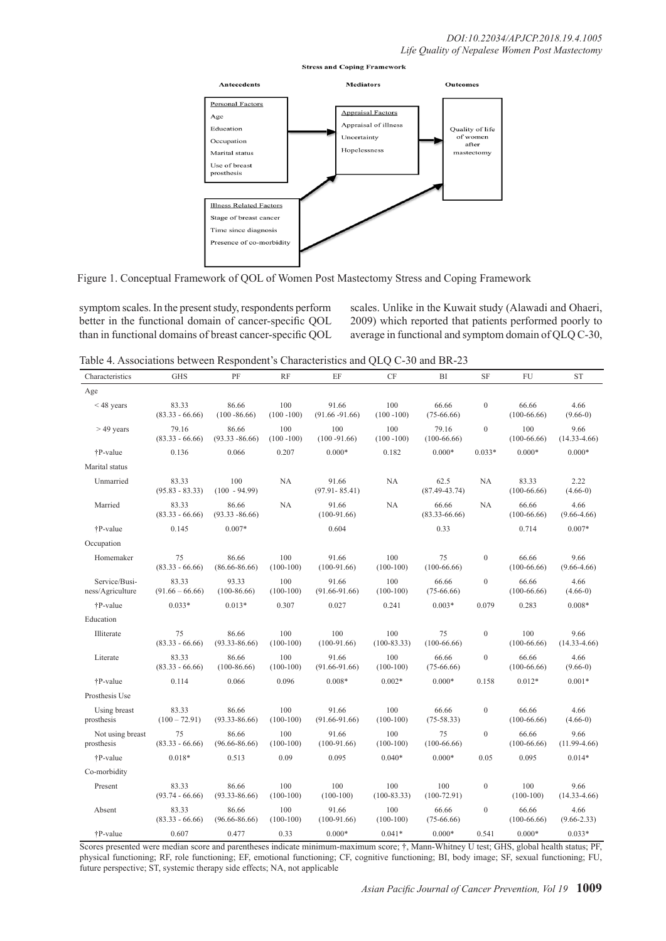

Figure 1. Conceptual Framework of QOL of Women Post Mastectomy Stress and Coping Framework

symptom scales. In the present study, respondents perform better in the functional domain of cancer-specific QOL than in functional domains of breast cancer-specific QOL scales. Unlike in the Kuwait study (Alawadi and Ohaeri, 2009) which reported that patients performed poorly to average in functional and symptom domain of QLQ C-30,

Table 4. Associations between Respondent's Characteristics and QLQ C-30 and BR-23

| Characteristics                   | <b>GHS</b>                 | PF                         | <b>RF</b>            | EF                         | <b>CF</b>              | BI                         | <b>SF</b>        | FU                     | <b>ST</b>                |
|-----------------------------------|----------------------------|----------------------------|----------------------|----------------------------|------------------------|----------------------------|------------------|------------------------|--------------------------|
| Age                               |                            |                            |                      |                            |                        |                            |                  |                        |                          |
| $<$ 48 years                      | 83.33<br>$(83.33 - 66.66)$ | 86.66<br>$(100 - 86.66)$   | 100<br>$(100 - 100)$ | 91.66<br>$(91.66 - 91.66)$ | 100<br>$(100 - 100)$   | 66.66<br>$(75-66.66)$      | $\overline{0}$   | 66.66<br>$(100-66.66)$ | 4.66<br>$(9.66-0)$       |
| $>49$ years                       | 79.16<br>$(83.33 - 66.66)$ | 86.66<br>$(93.33 - 86.66)$ | 100<br>$(100 - 100)$ | 100<br>$(100 - 91.66)$     | 100<br>$(100 - 100)$   | 79.16<br>$(100-66.66)$     | $\overline{0}$   | 100<br>$(100-66.66)$   | 9.66<br>$(14.33 - 4.66)$ |
| †P-value                          | 0.136                      | 0.066                      | 0.207                | $0.000*$                   | 0.182                  | $0.000*$                   | $0.033*$         | $0.000*$               | $0.000*$                 |
| Marital status                    |                            |                            |                      |                            |                        |                            |                  |                        |                          |
| Unmarried                         | 83.33<br>$(95.83 - 83.33)$ | 100<br>$(100 - 94.99)$     | NA                   | 91.66<br>$(97.91 - 85.41)$ | <b>NA</b>              | 62.5<br>$(87.49 - 43.74)$  | <b>NA</b>        | 83.33<br>$(100-66.66)$ | 2.22<br>$(4.66-0)$       |
| Married                           | 83.33<br>$(83.33 - 66.66)$ | 86.66<br>$(93.33 - 86.66)$ | NA                   | 91.66<br>$(100-91.66)$     | NA                     | 66.66<br>$(83.33 - 66.66)$ | NA               | 66.66<br>$(100-66.66)$ | 4.66<br>$(9.66 - 4.66)$  |
| †P-value                          | 0.145                      | $0.007*$                   |                      | 0.604                      |                        | 0.33                       |                  | 0.714                  | $0.007*$                 |
| Occupation                        |                            |                            |                      |                            |                        |                            |                  |                        |                          |
| Homemaker                         | 75<br>$(83.33 - 66.66)$    | 86.66<br>$(86.66 - 86.66)$ | 100<br>$(100-100)$   | 91.66<br>$(100-91.66)$     | 100<br>$(100-100)$     | 75<br>$(100-66.66)$        | $\boldsymbol{0}$ | 66.66<br>$(100-66.66)$ | 9.66<br>$(9.66 - 4.66)$  |
| Service/Busi-<br>ness/Agriculture | 83.33<br>$(91.66 - 66.66)$ | 93.33<br>$(100-86.66)$     | 100<br>$(100-100)$   | 91.66<br>$(91.66 - 91.66)$ | 100<br>$(100-100)$     | 66.66<br>$(75-66.66)$      | $\boldsymbol{0}$ | 66.66<br>$(100-66.66)$ | 4.66<br>$(4.66-0)$       |
| †P-value                          | $0.033*$                   | $0.013*$                   | 0.307                | 0.027                      | 0.241                  | $0.003*$                   | 0.079            | 0.283                  | $0.008*$                 |
| Education                         |                            |                            |                      |                            |                        |                            |                  |                        |                          |
| Illiterate                        | 75<br>$(83.33 - 66.66)$    | 86.66<br>$(93.33 - 86.66)$ | 100<br>$(100-100)$   | 100<br>$(100-91.66)$       | 100<br>$(100-83.33)$   | 75<br>$(100-66.66)$        | $\boldsymbol{0}$ | 100<br>$(100-66.66)$   | 9.66<br>$(14.33 - 4.66)$ |
| Literate                          | 83.33<br>$(83.33 - 66.66)$ | 86.66<br>$(100-86.66)$     | 100<br>$(100-100)$   | 91.66<br>$(91.66 - 91.66)$ | 100<br>$(100-100)$     | 66.66<br>$(75-66.66)$      | $\boldsymbol{0}$ | 66.66<br>$(100-66.66)$ | 4.66<br>$(9.66-0)$       |
| †P-value                          | 0.114                      | 0.066                      | 0.096                | $0.008*$                   | $0.002*$               | $0.000*$                   | 0.158            | $0.012*$               | $0.001*$                 |
| Prosthesis Use                    |                            |                            |                      |                            |                        |                            |                  |                        |                          |
| Using breast<br>prosthesis        | 83.33<br>$(100 - 72.91)$   | 86.66<br>$(93.33 - 86.66)$ | 100<br>$(100-100)$   | 91.66<br>$(91.66 - 91.66)$ | 100<br>$(100-100)$     | 66.66<br>$(75-58.33)$      | $\boldsymbol{0}$ | 66.66<br>$(100-66.66)$ | 4.66<br>$(4.66-0)$       |
| Not using breast<br>prosthesis    | 75<br>$(83.33 - 66.66)$    | 86.66<br>$(96.66 - 86.66)$ | 100<br>$(100-100)$   | 91.66<br>$(100-91.66)$     | 100<br>$(100-100)$     | 75<br>$(100-66.66)$        | $\boldsymbol{0}$ | 66.66<br>$(100-66.66)$ | 9.66<br>$(11.99-4.66)$   |
| †P-value                          | $0.018*$                   | 0.513                      | 0.09                 | 0.095                      | $0.040*$               | $0.000*$                   | 0.05             | 0.095                  | $0.014*$                 |
| Co-morbidity                      |                            |                            |                      |                            |                        |                            |                  |                        |                          |
| Present                           | 83.33<br>$(93.74 - 66.66)$ | 86.66<br>$(93.33 - 86.66)$ | 100<br>$(100-100)$   | 100<br>$(100-100)$         | 100<br>$(100 - 83.33)$ | 100<br>$(100-72.91)$       | $\boldsymbol{0}$ | 100<br>$(100-100)$     | 9.66<br>$(14.33 - 4.66)$ |
| Absent                            | 83.33<br>$(83.33 - 66.66)$ | 86.66<br>$(96.66 - 86.66)$ | 100<br>$(100-100)$   | 91.66<br>$(100-91.66)$     | 100<br>$(100-100)$     | 66.66<br>$(75-66.66)$      | $\boldsymbol{0}$ | 66.66<br>$(100-66.66)$ | 4.66<br>$(9.66 - 2.33)$  |
| †P-value                          | 0.607                      | 0.477                      | 0.33                 | $0.000*$                   | $0.041*$               | $0.000*$                   | 0.541            | $0.000*$               | $0.033*$                 |

Scores presented were median score and parentheses indicate minimum-maximum score; †, Mann-Whitney U test; GHS, global health status; PF, physical functioning; RF, role functioning; EF, emotional functioning; CF, cognitive functioning; BI, body image; SF, sexual functioning; FU, future perspective; ST, systemic therapy side effects; NA, not applicable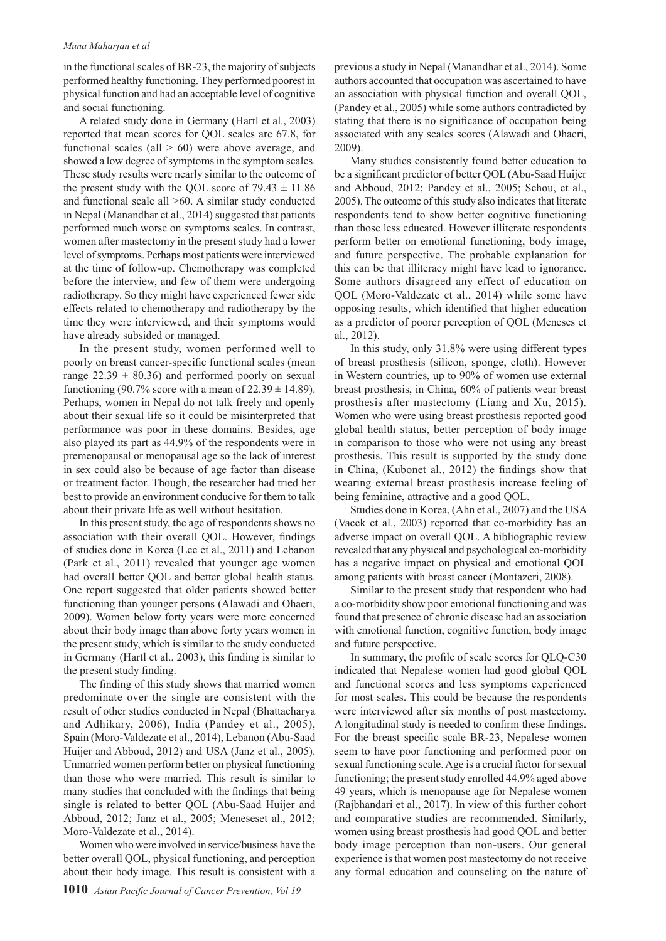#### *Muna Maharjan et al*

in the functional scales of BR-23, the majority of subjects performed healthy functioning. They performed poorest in physical function and had an acceptable level of cognitive and social functioning.

A related study done in Germany (Hartl et al., 2003) reported that mean scores for QOL scales are 67.8, for functional scales (all  $> 60$ ) were above average, and showed a low degree of symptoms in the symptom scales. These study results were nearly similar to the outcome of the present study with the QOL score of  $79.43 \pm 11.86$ and functional scale all >60. A similar study conducted in Nepal (Manandhar et al., 2014) suggested that patients performed much worse on symptoms scales. In contrast, women after mastectomy in the present study had a lower level of symptoms. Perhaps most patients were interviewed at the time of follow-up. Chemotherapy was completed before the interview, and few of them were undergoing radiotherapy. So they might have experienced fewer side effects related to chemotherapy and radiotherapy by the time they were interviewed, and their symptoms would have already subsided or managed.

In the present study, women performed well to poorly on breast cancer-specific functional scales (mean range  $22.39 \pm 80.36$ ) and performed poorly on sexual functioning (90.7% score with a mean of  $22.39 \pm 14.89$ ). Perhaps, women in Nepal do not talk freely and openly about their sexual life so it could be misinterpreted that performance was poor in these domains. Besides, age also played its part as 44.9% of the respondents were in premenopausal or menopausal age so the lack of interest in sex could also be because of age factor than disease or treatment factor. Though, the researcher had tried her best to provide an environment conducive for them to talk about their private life as well without hesitation.

In this present study, the age of respondents shows no association with their overall QOL. However, findings of studies done in Korea (Lee et al., 2011) and Lebanon (Park et al., 2011) revealed that younger age women had overall better QOL and better global health status. One report suggested that older patients showed better functioning than younger persons (Alawadi and Ohaeri, 2009). Women below forty years were more concerned about their body image than above forty years women in the present study, which is similar to the study conducted in Germany (Hartl et al., 2003), this finding is similar to the present study finding.

The finding of this study shows that married women predominate over the single are consistent with the result of other studies conducted in Nepal (Bhattacharya and Adhikary, 2006), India (Pandey et al., 2005), Spain (Moro-Valdezate et al., 2014), Lebanon (Abu-Saad Huijer and Abboud, 2012) and USA (Janz et al., 2005). Unmarried women perform better on physical functioning than those who were married. This result is similar to many studies that concluded with the findings that being single is related to better QOL (Abu-Saad Huijer and Abboud, 2012; Janz et al., 2005; Meneseset al., 2012; Moro-Valdezate et al., 2014).

Women who were involved in service/business have the better overall QOL, physical functioning, and perception about their body image. This result is consistent with a previous a study in Nepal (Manandhar et al., 2014). Some authors accounted that occupation was ascertained to have an association with physical function and overall QOL, (Pandey et al., 2005) while some authors contradicted by stating that there is no significance of occupation being associated with any scales scores (Alawadi and Ohaeri, 2009).

Many studies consistently found better education to be a significant predictor of better QOL (Abu-Saad Huijer and Abboud, 2012; Pandey et al., 2005; Schou, et al., 2005). The outcome of this study also indicates that literate respondents tend to show better cognitive functioning than those less educated. However illiterate respondents perform better on emotional functioning, body image, and future perspective. The probable explanation for this can be that illiteracy might have lead to ignorance. Some authors disagreed any effect of education on QOL (Moro-Valdezate et al., 2014) while some have opposing results, which identified that higher education as a predictor of poorer perception of QOL (Meneses et al., 2012).

In this study, only 31.8% were using different types of breast prosthesis (silicon, sponge, cloth). However in Western countries, up to 90% of women use external breast prosthesis, in China, 60% of patients wear breast prosthesis after mastectomy (Liang and Xu, 2015). Women who were using breast prosthesis reported good global health status, better perception of body image in comparison to those who were not using any breast prosthesis. This result is supported by the study done in China, (Kubonet al., 2012) the findings show that wearing external breast prosthesis increase feeling of being feminine, attractive and a good QOL.

Studies done in Korea, (Ahn et al., 2007) and the USA (Vacek et al., 2003) reported that co-morbidity has an adverse impact on overall QOL. A bibliographic review revealed that any physical and psychological co-morbidity has a negative impact on physical and emotional QOL among patients with breast cancer (Montazeri, 2008).

Similar to the present study that respondent who had a co-morbidity show poor emotional functioning and was found that presence of chronic disease had an association with emotional function, cognitive function, body image and future perspective.

In summary, the profile of scale scores for QLQ-C30 indicated that Nepalese women had good global QOL and functional scores and less symptoms experienced for most scales. This could be because the respondents were interviewed after six months of post mastectomy. A longitudinal study is needed to confirm these findings. For the breast specific scale BR-23, Nepalese women seem to have poor functioning and performed poor on sexual functioning scale. Age is a crucial factor for sexual functioning; the present study enrolled 44.9% aged above 49 years, which is menopause age for Nepalese women (Rajbhandari et al., 2017). In view of this further cohort and comparative studies are recommended. Similarly, women using breast prosthesis had good QOL and better body image perception than non-users. Our general experience is that women post mastectomy do not receive any formal education and counseling on the nature of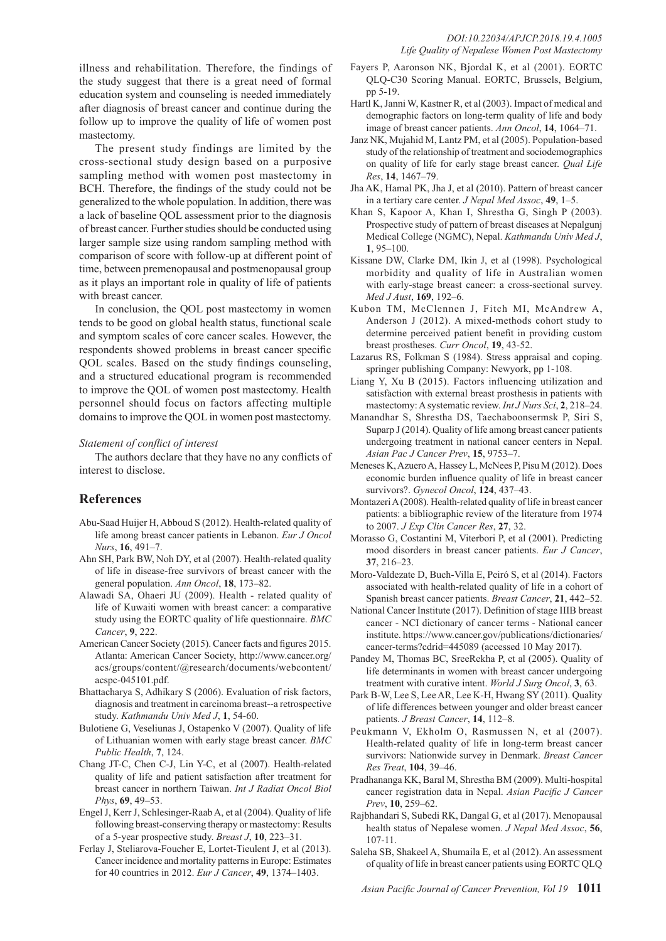illness and rehabilitation. Therefore, the findings of the study suggest that there is a great need of formal education system and counseling is needed immediately after diagnosis of breast cancer and continue during the follow up to improve the quality of life of women post mastectomy.

The present study findings are limited by the cross-sectional study design based on a purposive sampling method with women post mastectomy in BCH. Therefore, the findings of the study could not be generalized to the whole population. In addition, there was a lack of baseline QOL assessment prior to the diagnosis of breast cancer. Further studies should be conducted using larger sample size using random sampling method with comparison of score with follow-up at different point of time, between premenopausal and postmenopausal group as it plays an important role in quality of life of patients with breast cancer.

In conclusion, the QOL post mastectomy in women tends to be good on global health status, functional scale and symptom scales of core cancer scales. However, the respondents showed problems in breast cancer specific QOL scales. Based on the study findings counseling, and a structured educational program is recommended to improve the QOL of women post mastectomy. Health personnel should focus on factors affecting multiple domains to improve the QOL in women post mastectomy.

## *Statement of conflict of interest*

The authors declare that they have no any conflicts of interest to disclose.

## **References**

- Abu-Saad Huijer H, Abboud S (2012). Health-related quality of life among breast cancer patients in Lebanon. *Eur J Oncol Nurs*, **16**, 491–7.
- Ahn SH, Park BW, Noh DY, et al (2007). Health-related quality of life in disease-free survivors of breast cancer with the general population. *Ann Oncol*, **18**, 173–82.
- Alawadi SA, Ohaeri JU (2009). Health related quality of life of Kuwaiti women with breast cancer: a comparative study using the EORTC quality of life questionnaire. *BMC Cancer*, **9**, 222.
- American Cancer Society (2015). Cancer facts and figures 2015. Atlanta: American Cancer Society, http://www.cancer.org/ acs/groups/content/@research/documents/webcontent/ acspc-045101.pdf.
- Bhattacharya S, Adhikary S (2006). Evaluation of risk factors, diagnosis and treatment in carcinoma breast--a retrospective study. *Kathmandu Univ Med J*, **1**, 54-60.
- Bulotiene G, Veseliunas J, Ostapenko V (2007). Quality of life of Lithuanian women with early stage breast cancer. *BMC Public Health*, **7**, 124.
- Chang JT-C, Chen C-J, Lin Y-C, et al (2007). Health-related quality of life and patient satisfaction after treatment for breast cancer in northern Taiwan. *Int J Radiat Oncol Biol Phys*, **69**, 49–53.
- Engel J, Kerr J, Schlesinger-Raab A, et al (2004). Quality of life following breast-conserving therapy or mastectomy: Results of a 5-year prospective study. *Breast J*, **10**, 223–31.
- Ferlay J, Steliarova-Foucher E, Lortet-Tieulent J, et al (2013). Cancer incidence and mortality patterns in Europe: Estimates for 40 countries in 2012. *Eur J Cancer*, **49**, 1374–1403.
- Fayers P, Aaronson NK, Bjordal K, et al (2001). EORTC QLQ-C30 Scoring Manual. EORTC, Brussels, Belgium, pp 5-19.
- Hartl K, Janni W, Kastner R, et al (2003). Impact of medical and demographic factors on long-term quality of life and body image of breast cancer patients. *Ann Oncol*, **14**, 1064–71.
- Janz NK, Mujahid M, Lantz PM, et al (2005). Population-based study of the relationship of treatment and sociodemographics on quality of life for early stage breast cancer. *Qual Life Res*, **14**, 1467–79.
- Jha AK, Hamal PK, Jha J, et al (2010). Pattern of breast cancer in a tertiary care center. *J Nepal Med Assoc*, **49**, 1–5.
- Khan S, Kapoor A, Khan I, Shrestha G, Singh P (2003). Prospective study of pattern of breast diseases at Nepalgunj Medical College (NGMC), Nepal. *Kathmandu Univ Med J*, **1**, 95–100.
- Kissane DW, Clarke DM, Ikin J, et al (1998). Psychological morbidity and quality of life in Australian women with early-stage breast cancer: a cross-sectional survey. *Med J Aust*, **169**, 192–6.
- Kubon TM, McClennen J, Fitch MI, McAndrew A, Anderson J (2012). A mixed-methods cohort study to determine perceived patient benefit in providing custom breast prostheses. *Curr Oncol*, **19**, 43-52.
- Lazarus RS, Folkman S (1984). Stress appraisal and coping. springer publishing Company: Newyork, pp 1-108.
- Liang Y, Xu B (2015). Factors influencing utilization and satisfaction with external breast prosthesis in patients with mastectomy: A systematic review. *Int J Nurs Sci*, **2**, 218–24.
- Manandhar S, Shrestha DS, Taechaboonsermsk P, Siri S, Suparp J (2014). Quality of life among breast cancer patients undergoing treatment in national cancer centers in Nepal. *Asian Pac J Cancer Prev*, **15**, 9753–7.
- Meneses K, Azuero A, Hassey L, McNees P, Pisu M (2012). Does economic burden influence quality of life in breast cancer survivors?. *Gynecol Oncol*, **124**, 437–43.
- Montazeri A (2008). Health-related quality of life in breast cancer patients: a bibliographic review of the literature from 1974 to 2007. *J Exp Clin Cancer Res*, **27**, 32.
- Morasso G, Costantini M, Viterbori P, et al (2001). Predicting mood disorders in breast cancer patients. *Eur J Cancer*, **37**, 216–23.
- Moro-Valdezate D, Buch-Villa E, Peiró S, et al (2014). Factors associated with health-related quality of life in a cohort of Spanish breast cancer patients. *Breast Cancer*, **21**, 442–52.
- National Cancer Institute (2017). Definition of stage IIIB breast cancer - NCI dictionary of cancer terms - National cancer institute. https://www.cancer.gov/publications/dictionaries/ cancer-terms?cdrid=445089 (accessed 10 May 2017).
- Pandey M, Thomas BC, SreeRekha P, et al (2005). Quality of life determinants in women with breast cancer undergoing treatment with curative intent. *World J Surg Oncol*, **3**, 63.
- Park B-W, Lee S, Lee AR, Lee K-H, Hwang SY (2011). Quality of life differences between younger and older breast cancer patients. *J Breast Cancer*, **14**, 112–8.
- Peukmann V, Ekholm O, Rasmussen N, et al (2007). Health-related quality of life in long-term breast cancer survivors: Nationwide survey in Denmark. *Breast Cancer Res Treat*, **104**, 39–46.
- Pradhananga KK, Baral M, Shrestha BM (2009). Multi-hospital cancer registration data in Nepal. *Asian Pacific J Cancer Prev*, **10**, 259–62.
- Rajbhandari S, Subedi RK, Dangal G, et al (2017). Menopausal health status of Nepalese women. *J Nepal Med Assoc*, **56**, 107-11.
- Saleha SB, Shakeel A, Shumaila E, et al (2012). An assessment of quality of life in breast cancer patients using EORTC QLQ

*Asian Pacific Journal of Cancer Prevention, Vol 19* **1011**